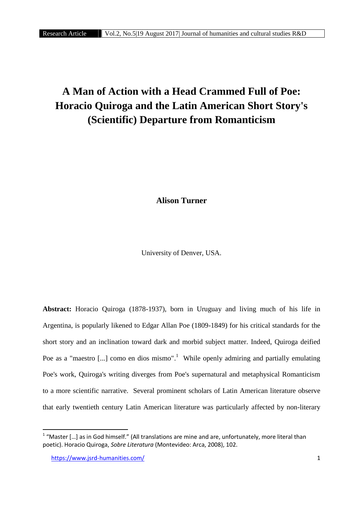## **A Man of Action with a Head Crammed Full of Poe: Horacio Quiroga and the Latin American Short Story's (Scientific) Departure from Romanticism**

**Alison Turner**

University of Denver, USA.

**Abstract:** Horacio Quiroga (1878-1937), born in Uruguay and living much of his life in Argentina, is popularly likened to Edgar Allan Poe (1809-1849) for his critical standards for the short story and an inclination toward dark and morbid subject matter. Indeed, Quiroga deified Poe as a "maestro [...] como en dios mismo".<sup>1</sup> While openly admiring and partially emulating Poe's work, Quiroga's writing diverges from Poe's supernatural and metaphysical Romanticism to a more scientific narrative. Several prominent scholars of Latin American literature observe that early twentieth century Latin American literature was particularly affected by non-literary

 $1$  "Master [...] as in God himself." (All translations are mine and are, unfortunately, more literal than poetic). Horacio Quiroga, *Sobre Literatura* (Montevideo: Arca, 2008), 102.

https://www.jsrd-humanities.com/ 1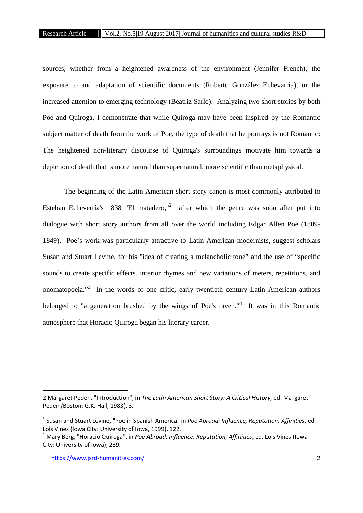sources, whether from a heightened awareness of the environment (Jennifer French), the exposure to and adaptation of scientific documents (Roberto González Echevarría), or the increased attention to emerging technology (Beatriz Sarlo). Analyzing two short stories by both Poe and Quiroga, I demonstrate that while Quiroga may have been inspired by the Romantic subject matter of death from the work of Poe, the type of death that he portrays is not Romantic: The heightened non-literary discourse of Quiroga's surroundings motivate him towards a depiction of death that is more natural than supernatural, more scientific than metaphysical.

The beginning of the Latin American short story canon is most commonly attributed to Esteban Echeverría's 1838 "El matadero,"<sup>2</sup> after which the genre was soon after put into dialogue with short story authors from all over the world including Edgar Allen Poe (1809- 1849). Poe's work was particularly attractive to Latin American modernists, suggest scholars Susan and Stuart Levine, for his "idea of creating a melancholic tone" and the use of "specific sounds to create specific effects, interior rhymes and new variations of meters, repetitions, and onomatopoeia."<sup>3</sup> In the words of one critic, early twentieth century Latin American authors belonged to "a generation brushed by the wings of Poe's raven."<sup>4</sup> It was in this Romantic atmosphere that Horacio Quiroga began his literary career.

<sup>2</sup> Margaret Peden, "Introduction", in *The Latin American Short Story: A Critical History,* ed. Margaret Peden *(*Boston: G.K. Hall, 1983), 3.

<sup>3</sup> Susan and Stuart Levine, "Poe in Spanish America" in *Poe Abroad: Influence, Reputation, Affinities*, ed. Lois Vines (Iowa City: University of Iowa, 1999), 122.

<sup>4</sup> Mary Berg, "Horacio Quiroga", in *Poe Abroad: Influence, Reputation, Affinities*, ed. Lois Vines (Iowa City: University of Iowa), 239.

https://www.jsrd-humanities.com/ 2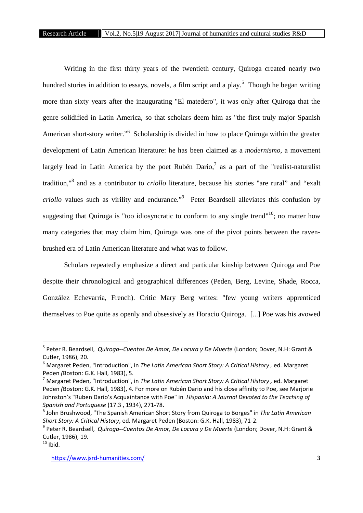Writing in the first thirty years of the twentieth century, Quiroga created nearly two hundred stories in addition to essays, novels, a film script and a play.<sup>5</sup> Though he began writing more than sixty years after the inaugurating "El matedero", it was only after Quiroga that the genre solidified in Latin America, so that scholars deem him as "the first truly major Spanish American short-story writer."<sup>6</sup> Scholarship is divided in how to place Quiroga within the greater development of Latin American literature: he has been claimed as a *modernismo*, a movement largely lead in Latin America by the poet Rubén Dario,<sup>7</sup> as a part of the "realist-naturalist" tradition," <sup>8</sup> and as a contributor to *criollo* literature, because his stories "are rural" and "exalt *criollo* values such as virility and endurance." <sup>9</sup> Peter Beardsell alleviates this confusion by suggesting that Quiroga is "too idiosyncratic to conform to any single trend"<sup>10</sup>; no matter how many categories that may claim him, Quiroga was one of the pivot points between the raven brushed era of Latin American literature and what was to follow.

Scholars repeatedly emphasize a direct and particular kinship between Quiroga and Poe despite their chronological and geographical differences (Peden, Berg, Levine, Shade, Rocca, González Echevarría, French). Critic Mary Berg writes: "few young writers apprenticed themselves to Poe quite as openly and obsessively as Horacio Quiroga. [...] Poe was his avowed

<sup>5</sup> Peter R. Beardsell, *Quiroga--Cuentos De Amor, De Locura y De Muerte* (London; Dover, N.H: Grant & Cutler, 1986), 20.

<sup>6</sup> Margaret Peden, "Introduction", in *The Latin American Short Story: A Critical History ,* ed. Margaret Peden *(*Boston: G.K. Hall, 1983), 5.

<sup>7</sup> Margaret Peden, "Introduction", in *The Latin American Short Story: A Critical History ,* ed. Margaret Peden *(*Boston: G.K. Hall, 1983), 4. For more on Rubén Dario and his close affinity to Poe, see Marjorie Johnston's "Ruben Dario's Acquaintance with Poe" in *Hispania: A Journal Devoted to the Teaching of Spanish and Portuguese* (17.3 , 1934), 271-78.

<sup>8</sup> John Brushwood, "The Spanish American Short Story from Quiroga to Borges" in *The Latin American Short Story: A Critical History*, ed. Margaret Peden (Boston: G.K. Hall, 1983), 71-2.

<sup>9</sup> Peter R. Beardsell, *Quiroga--Cuentos De Amor, De Locura y De Muerte* (London; Dover, N.H: Grant & Cutler, 1986), 19.

 $10$  Ibid.

https://www.jsrd-humanities.com/ 3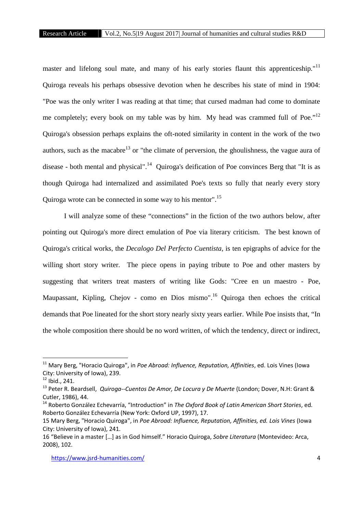master and lifelong soul mate, and many of his early stories flaunt this apprenticeship."<sup>11</sup> Quiroga reveals his perhaps obsessive devotion when he describes his state of mind in 1904: "Poe was the only writer I was reading at that time; that cursed madman had come to dominate me completely; every book on my table was by him. My head was crammed full of Poe."<sup>12</sup> Quiroga's obsession perhaps explains the oft-noted similarity in content in the work of the two authors, such as the macabre<sup>13</sup> or "the climate of perversion, the ghoulishness, the vague aura of disease - both mental and physical".<sup>14</sup> Quiroga's deification of Poe convinces Berg that "It is as though Quiroga had internalized and assimilated Poe's texts so fully that nearly every story Quiroga wrote can be connected in some way to his mentor".<sup>15</sup>

I will analyze some of these "connections" in the fiction of the two authors below, after pointing out Quiroga's more direct emulation of Poe via literary criticism. The best known of Quiroga's critical works, the *Decalogo Del Perfecto Cuentista,* is ten epigraphs of advice for the willing short story writer. The piece opens in paying tribute to Poe and other masters by suggesting that writers treat masters of writing like Gods: "Cree en un maestro - Poe, Maupassant, Kipling, Chejov - como en Dios mismo".<sup>16</sup> Ouiroga then echoes the critical demands that Poe lineated for the short story nearly sixty years earlier. While Poe insists that, "In the whole composition there should be no word written, of which the tendency, direct or indirect,

<sup>11</sup> Mary Berg, "Horacio Quiroga", in *Poe Abroad: Influence, Reputation, Affinities*, ed. Lois Vines (Iowa City: University of Iowa), 239.

 $12$  Ibid., 241.

<sup>13</sup> Peter R. Beardsell, *Quiroga--Cuentos De Amor, De Locura y De Muerte* (London; Dover, N.H: Grant & Cutler, 1986), 44.

<sup>14</sup> Roberto González Echevarría, "Introduction" in *The Oxford Book of Latin American Short Stories*, ed. Roberto González Echevarría (New York: Oxford UP, 1997), 17.

<sup>15</sup> Mary Berg, "Horacio Quiroga", in *Poe Abroad: Influence, Reputation, Affinities, ed. Lois Vines* (Iowa City: University of Iowa), 241.

<sup>16</sup> "Believe in a master […] as in God himself." Horacio Quiroga, *Sobre Literatura* (Montevideo: Arca, 2008), 102.

https://www.jsrd-humanities.com/ 4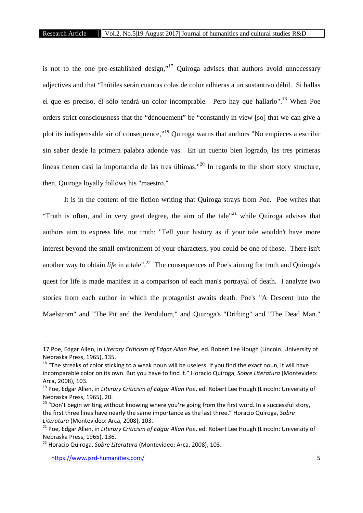is not to the one pre-established design,"<sup>17</sup> Quiroga advises that authors avoid unnecessary adjectives and that "Inútiles serán cuantas colas de color adhieras a un sustantivo débil. Si hallas el que es preciso, él sólo tendrá un color incomprable. Pero hay que hallarlo".<sup>18</sup> When Poe orders strict consciousness that the "dénouement" be "constantly in view [so] that we can give a plot its indispensable air of consequence,"<sup>19</sup> Quiroga warns that authors "No empieces a escribir sin saber desde la primera palabra adonde vas. En un cuento bien logrado, las tres primeras líneas tienen casi la importancia de las tres últimas."<sup>20</sup> In regards to the short story structure, then, Quiroga loyally follows his "maestro."

It is in the content of the fiction writing that Quiroga strays from Poe. Poe writes that "Truth is often, and in very great degree, the aim of the tale"<sup>21</sup> while Quiroga advises that authors aim to express life, not truth: "Tell your history as if your tale wouldn't have more interest beyond the small environment of your characters, you could be one of those. There isn't another way to obtain *life* in a tale".<sup>22</sup> The consequences of Poe's aiming for truth and Quiroga's quest for life is made manifest in a comparison of each man's portrayal of death. I analyze two stories from each author in which the protagonist awaits death: Poe's "A Descent into the Maelstrom" and "The Pit and the Pendulum," and Quiroga's "Drifting" and "The Dead Man."

<sup>17</sup> Poe, Edgar Allen, in *Literary Criticism of Edgar Allan Poe*, ed. Robert Lee Hough (Lincoln: University of Nebraska Press, 1965), 135.

 $18$  "The streaks of color sticking to a weak noun will be useless. If you find the exact noun, it will have incomparable color on its own. But you have to find it." Horacio Quiroga, *Sobre Literatura* (Montevideo: Arca, 2008), 103.

<sup>19</sup> Poe, Edgar Allen, in *Literary Criticism of Edgar Allan Poe*, ed. Robert Lee Hough (Lincoln: University of Nebraska Press, 1965), 20.

 $20$  "Don't begin writing without knowing where you're going from the first word. In a successful story, the first three lines have nearly the same importance as the last three." Horacio Quiroga, *Sobre Literatura* (Montevideo: Arca, 2008), 103.

<sup>21</sup> Poe, Edgar Allen, in *Literary Criticism of Edgar Allan Poe*, ed. Robert Lee Hough (Lincoln: University of Nebraska Press, 1965), 136.

<sup>22</sup> Horacio Quiroga, *Sobre Literatura* (Montevideo: Arca, 2008), 103.

https://www.jsrd-humanities.com/ 5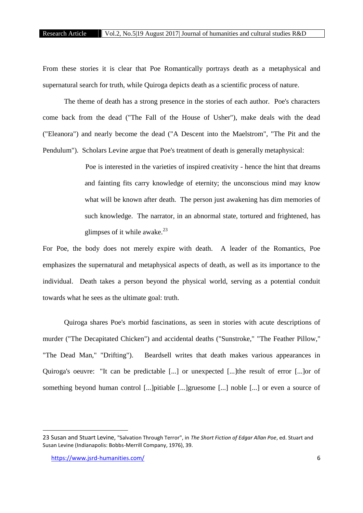From these stories it is clear that Poe Romantically portrays death as a metaphysical and supernatural search for truth, while Quiroga depicts death as a scientific process of nature.

The theme of death has a strong presence in the stories of each author. Poe's characters come back from the dead ("The Fall of the House of Usher"), make deals with the dead ("Eleanora") and nearly become the dead ("A Descent into the Maelstrom", "The Pit and the Pendulum"). Scholars Levine argue that Poe's treatment of death is generally metaphysical:

> Poe is interested in the varieties of inspired creativity - hence the hint that dreams and fainting fits carry knowledge of eternity; the unconscious mind may know what will be known after death. The person just awakening has dim memories of such knowledge. The narrator, in an abnormal state, tortured and frightened, has glimpses of it while awake. $^{23}$

For Poe, the body does not merely expire with death. A leader of the Romantics, Poe emphasizes the supernatural and metaphysical aspects of death, as well as its importance to the individual. Death takes a person beyond the physical world, serving as a potential conduit towards what he sees as the ultimate goal: truth.

Quiroga shares Poe's morbid fascinations, as seen in stories with acute descriptions of murder ("The Decapitated Chicken") and accidental deaths ("Sunstroke," "The Feather Pillow," "The Dead Man," "Drifting"). Beardsell writes that death makes various appearances in Quiroga's oeuvre: "It can be predictable [...] or unexpected [...]the result of error [...]or of something beyond human control [...]pitiable [...]gruesome [...] noble [...] or even a source of

<sup>23</sup> Susan and Stuart Levine, "Salvation Through Terror", in *The Short Fiction of Edgar Allan Poe*, ed. Stuart and Susan Levine (Indianapolis: Bobbs-Merrill Company, 1976), 39.

https://www.jsrd-humanities.com/ 6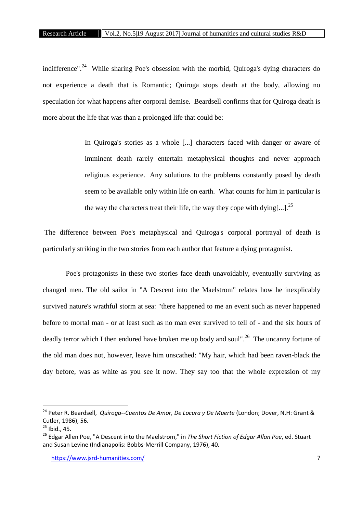indifference".<sup>24</sup> While sharing Poe's obsession with the morbid, Quiroga's dying characters do not experience a death that is Romantic; Quiroga stops death at the body, allowing no speculation for what happens after corporal demise. Beardsell confirms that for Quiroga death is more about the life that was than a prolonged life that could be:

> In Quiroga's stories as a whole [...] characters faced with danger or aware of imminent death rarely entertain metaphysical thoughts and never approach religious experience. Any solutions to the problems constantly posed by death seem to be available only within life on earth. What counts for him in particular is the way the characters treat their life, the way they cope with dying[...].<sup>25</sup>

The difference between Poe's metaphysical and Quiroga's corporal portrayal of death is particularly striking in the two stories from each author that feature a dying protagonist.

Poe's protagonists in these two stories face death unavoidably, eventually surviving as changed men. The old sailor in "A Descent into the Maelstrom" relates how he inexplicably survived nature's wrathful storm at sea: "there happened to me an event such as never happened before to mortal man - or at least such as no man ever survived to tell of - and the six hours of deadly terror which I then endured have broken me up body and soul".<sup>26</sup> The uncanny fortune of the old man does not, however, leave him unscathed: "My hair, which had been raven-black the day before, was as white as you see it now. They say too that the whole expression of my

<sup>24</sup> Peter R. Beardsell, *Quiroga--Cuentos De Amor, De Locura y De Muerte* (London; Dover, N.H: Grant & Cutler, 1986), 56.

 $25$  Ibid., 45.

<sup>26</sup> Edgar Allen Poe, "A Descent into the Maelstrom," in *The Short Fiction of Edgar Allan Poe*, ed. Stuart and Susan Levine (Indianapolis: Bobbs-Merrill Company, 1976), 40.

https://www.jsrd-humanities.com/ 7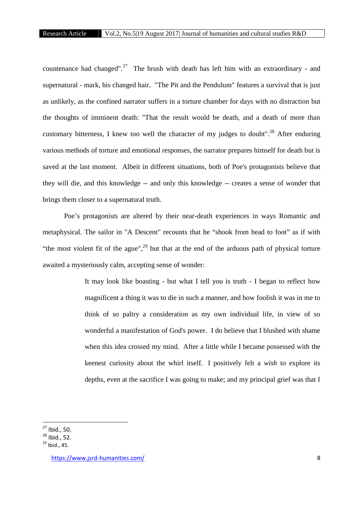countenance had changed".<sup>27</sup> The brush with death has left him with an extraordinary - and supernatural - mark, his changed hair. "The Pit and the Pendulum" features a survival that is just as unlikely, as the confined narrator suffers in a torture chamber for days with no distraction but the thoughts of imminent death: "That the result would be death, and a death of more than customary bitterness, I knew too well the character of my judges to doubt".<sup>28</sup> After enduring various methods of torture and emotional responses, the narrator prepares himself for death but is saved at the last moment. Albeit in different situations, both of Poe's protagonists believe that they will die, and this knowledge -- and only this knowledge -- creates a sense of wonder that brings them closer to a supernatural truth.

Poe's protagonists are altered by their near-death experiences in ways Romantic and metaphysical. The sailor in "A Descent" recounts that he "shook from head to foot" as if with "the most violent fit of the ague", $^{29}$  but that at the end of the arduous path of physical torture awaited a mysteriously calm, accepting sense of wonder:

> It may look like boasting - but what I tell you is truth - I began to reflect how magnificent a thing it was to die in such a manner, and how foolish it was in me to think of so paltry a consideration as my own individual life, in view of so wonderful a manifestation of God's power. I do believe that I blushed with shame when this idea crossed my mind. After a little while I became possessed with the keenest curiosity about the whirl itself. I positively felt a *wish* to explore its depths, even at the sacrifice I was going to make; and my principal grief was that I

 $^{27}$  Ibid., 50.<br> $^{28}$  Ibid., 52.

 $29$  Ibid., 45.

https://www.jsrd-humanities.com/ 8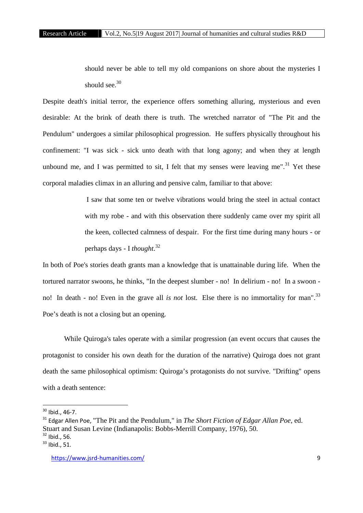should never be able to tell my old companions on shore about the mysteries I should see.<sup>30</sup>

Despite death's initial terror, the experience offers something alluring, mysterious and even desirable: At the brink of death there is truth. The wretched narrator of "The Pit and the Pendulum" undergoes a similar philosophical progression. He suffers physically throughout his confinement: "I was sick - sick unto death with that long agony; and when they at length unbound me, and I was permitted to sit, I felt that my senses were leaving me".<sup>31</sup> Yet these corporal maladies climax in an alluring and pensive calm, familiar to that above:

> I saw that some ten or twelve vibrations would bring the steel in actual contact with my robe - and with this observation there suddenly came over my spirit all the keen, collected calmness of despair. For the first time during many hours - or perhaps days - I *thought*.<sup>32</sup>

In both of Poe's stories death grants man a knowledge that is unattainable during life. When the tortured narrator swoons, he thinks, "In the deepest slumber - no! In delirium - no! In a swoon no! In death - no! Even in the grave all *is not* lost. Else there is no immortality for man".<sup>33</sup> Poe's death is not a closing but an opening.

While Quiroga's tales operate with a similar progression (an event occurs that causes the protagonist to consider his own death for the duration of the narrative) Quiroga does not grant death the same philosophical optimism: Quiroga's protagonists do not survive. "Drifting" opens with a death sentence:

 $30$  Ibid., 46-7.

<sup>&</sup>lt;sup>31</sup> Edgar Allen Poe, "The Pit and the Pendulum," in *The Short Fiction of Edgar Allan Poe*, ed. Stuart and Susan Levine (Indianapolis: Bobbs-Merrill Company, 1976), 50. <sup>32</sup> Ibid., 56.

 $33$  Ibid., 51.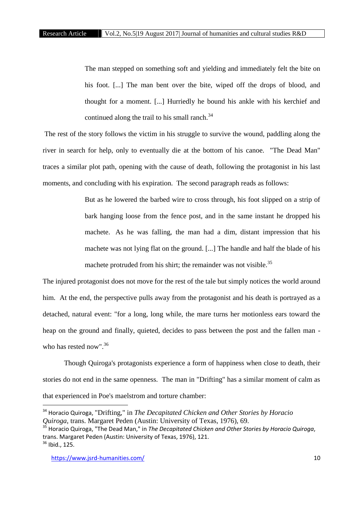The man stepped on something soft and yielding and immediately felt the bite on his foot. [...] The man bent over the bite, wiped off the drops of blood, and thought for a moment. [...] Hurriedly he bound his ankle with his kerchief and continued along the trail to his small ranch.<sup>34</sup>

The rest of the story follows the victim in his struggle to survive the wound, paddling along the river in search for help, only to eventually die at the bottom of his canoe. "The Dead Man" traces a similar plot path, opening with the cause of death, following the protagonist in his last moments, and concluding with his expiration. The second paragraph reads as follows:

> But as he lowered the barbed wire to cross through, his foot slipped on a strip of bark hanging loose from the fence post, and in the same instant he dropped his machete. As he was falling, the man had a dim, distant impression that his machete was not lying flat on the ground. [...] The handle and half the blade of his machete protruded from his shirt; the remainder was not visible.<sup>35</sup>

The injured protagonist does not move for the rest of the tale but simply notices the world around him. At the end, the perspective pulls away from the protagonist and his death is portrayed as a detached, natural event: "for a long, long while, the mare turns her motionless ears toward the heap on the ground and finally, quieted, decides to pass between the post and the fallen man who has rested now".<sup>36</sup>

Though Quiroga's protagonists experience a form of happiness when close to death, their stories do not end in the same openness. The man in "Drifting" has a similar moment of calm as that experienced in Poe's maelstrom and torture chamber:

<sup>34</sup> Horacio Quiroga, "Drifting," in *The Decapitated Chicken and Other Stories by Horacio Quiroga*, trans. Margaret Peden (Austin: University of Texas, 1976), 69.

<sup>35</sup> Horacio Quiroga, "The Dead Man," in *The Decapitated Chicken and Other Stories by Horacio Quiroga*, trans. Margaret Peden (Austin: University of Texas, 1976), 121.

 $36$  Ibid., 125.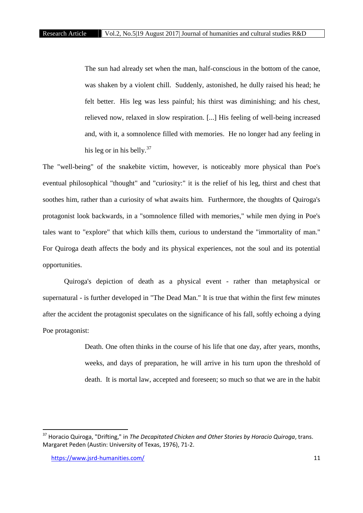The sun had already set when the man, half-conscious in the bottom of the canoe, was shaken by a violent chill. Suddenly, astonished, he dully raised his head; he felt better. His leg was less painful; his thirst was diminishing; and his chest, relieved now, relaxed in slow respiration. [...] His feeling of well-being increased and, with it, a somnolence filled with memories. He no longer had any feeling in his leg or in his belly. $37$ 

The "well-being" of the snakebite victim, however, is noticeably more physical than Poe's eventual philosophical "thought" and "curiosity:" it is the relief of his leg, thirst and chest that soothes him, rather than a curiosity of what awaits him. Furthermore, the thoughts of Quiroga's protagonist look backwards, in a "somnolence filled with memories," while men dying in Poe's tales want to "explore" that which kills them, curious to understand the "immortality of man." For Quiroga death affects the body and its physical experiences, not the soul and its potential opportunities.

Quiroga's depiction of death as a physical event - rather than metaphysical or supernatural - is further developed in "The Dead Man." It is true that within the first few minutes after the accident the protagonist speculates on the significance of his fall, softly echoing a dying Poe protagonist:

> Death. One often thinks in the course of his life that one day, after years, months, weeks, and days of preparation, he will arrive in his turn upon the threshold of death. It is mortal law, accepted and foreseen; so much so that we are in the habit

<sup>37</sup> Horacio Quiroga, "Drifting," in *The Decapitated Chicken and Other Stories by Horacio Quiroga*, trans. Margaret Peden (Austin: University of Texas, 1976), 71-2.

https://www.jsrd-humanities.com/ 11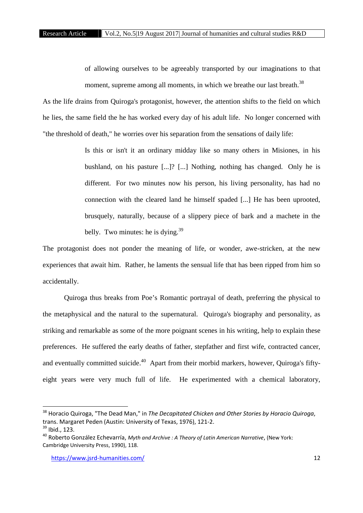of allowing ourselves to be agreeably transported by our imaginations to that moment, supreme among all moments, in which we breathe our last breath.<sup>38</sup>

As the life drains from Quiroga's protagonist, however, the attention shifts to the field on which he lies, the same field the he has worked every day of his adult life. No longer concerned with "the threshold of death," he worries over his separation from the sensations of daily life:

> Is this or isn't it an ordinary midday like so many others in Misiones, in his bushland, on his pasture [...]? [...] Nothing, nothing has changed. Only he is different. For two minutes now his person, his living personality, has had no connection with the cleared land he himself spaded [...] He has been uprooted, brusquely, naturally, because of a slippery piece of bark and a machete in the belly. Two minutes: he is dying. $39$

The protagonist does not ponder the meaning of life, or wonder, awe-stricken, at the new experiences that await him. Rather, he laments the sensual life that has been ripped from him so accidentally.

Quiroga thus breaks from Poe's Romantic portrayal of death, preferring the physical to the metaphysical and the natural to the supernatural. Quiroga's biography and personality, as striking and remarkable as some of the more poignant scenes in his writing, help to explain these preferences. He suffered the early deaths of father, stepfather and first wife, contracted cancer, and eventually committed suicide.<sup>40</sup> Apart from their morbid markers, however, Quiroga's fiftyeight years were very much full of life. He experimented with a chemical laboratory,

<sup>38</sup> Horacio Quiroga, "The Dead Man," in *The Decapitated Chicken and Other Stories by Horacio Quiroga*, trans. Margaret Peden (Austin: University of Texas, 1976), 121-2.

<sup>&</sup>lt;sup>39</sup> Ibid., 123.

<sup>40</sup> Roberto González Echevarría, *Myth and Archive : A Theory of Latin American Narrative*, (New York: Cambridge University Press, 1990), 118.

https://www.jsrd-humanities.com/ 12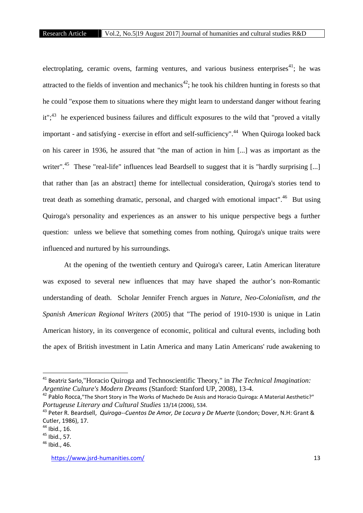electroplating, ceramic ovens, farming ventures, and various business enterprises<sup>41</sup>; he was attracted to the fields of invention and mechanics<sup>42</sup>; he took his children hunting in forests so that he could "expose them to situations where they might learn to understand danger without fearing it";<sup>43</sup> he experienced business failures and difficult exposures to the wild that "proved a vitally important - and satisfying - exercise in effort and self-sufficiency".<sup>44</sup> When Quiroga looked back on his career in 1936, he assured that "the man of action in him [...] was as important as the writer".<sup>45</sup> These "real-life" influences lead Beardsell to suggest that it is "hardly surprising [...] that rather than [as an abstract] theme for intellectual consideration, Quiroga's stories tend to treat death as something dramatic, personal, and charged with emotional impact".<sup>46</sup> But using Quiroga's personality and experiences as an answer to his unique perspective begs a further question: unless we believe that something comes from nothing, Quiroga's unique traits were influenced and nurtured by his surroundings.

At the opening of the twentieth century and Quiroga's career, Latin American literature was exposed to several new influences that may have shaped the author's non-Romantic understanding of death. Scholar Jennifer French argues in *Nature, Neo-Colonialism, and the Spanish American Regional Writers* (2005) that "The period of 1910-1930 is unique in Latin American history, in its convergence of economic, political and cultural events, including both the apex of British investment in Latin America and many Latin Americans' rude awakening to

<sup>41</sup> Beatriz Sarlo,"Horacio Quiroga and Technoscientific Theory," in *The Technical Imagination: Argentine Culture's Modern Dreams* (Stanford: Stanford UP, 2008), 13-4.

<sup>42</sup> Pablo Rocca,"The Short Story in The Works of Machedo De Assis and Horacio Quiroga: A Material Aesthetic?" *Portugeuse Literary and Cultural Studies* 13/14 (2006), 534.

<sup>43</sup> Peter R. Beardsell, *Quiroga--Cuentos De Amor, De Locura y De Muerte* (London; Dover, N.H: Grant & Cutler, 1986), 17.

 $44$  Ibid., 16.

<sup>45</sup> Ibid., 57.

 $46$  Ibid., 46.

https://www.jsrd-humanities.com/ 13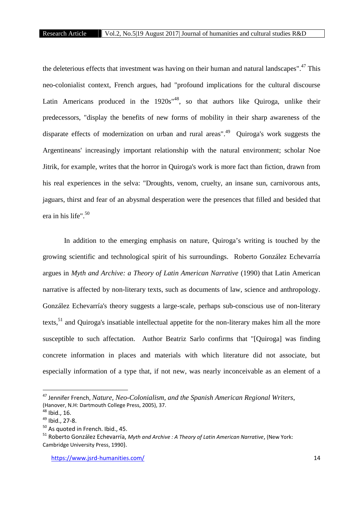the deleterious effects that investment was having on their human and natural landscapes".<sup>47</sup> This neo-colonialist context, French argues, had "profound implications for the cultural discourse Latin Americans produced in the  $1920s^{48}$ , so that authors like Quiroga, unlike their predecessors, "display the benefits of new forms of mobility in their sharp awareness of the disparate effects of modernization on urban and rural areas".<sup>49</sup> Quiroga's work suggests the Argentineans' increasingly important relationship with the natural environment; scholar Noe Jitrik, for example, writes that the horror in Quiroga's work is more fact than fiction, drawn from his real experiences in the selva: "Droughts, venom, cruelty, an insane sun, carnivorous ants, jaguars, thirst and fear of an abysmal desperation were the presences that filled and besided that era in his life".<sup>50</sup>

In addition to the emerging emphasis on nature, Quiroga's writing is touched by the growing scientific and technological spirit of his surroundings. Roberto González Echevarría argues in *Myth and Archive: a Theory of Latin American Narrative* (1990) that Latin American narrative is affected by non-literary texts, such as documents of law, science and anthropology. González Echevarría's theory suggests a large-scale, perhaps sub-conscious use of non-literary texts, $51$  and Quiroga's insatiable intellectual appetite for the non-literary makes him all the more susceptible to such affectation. Author Beatriz Sarlo confirms that "[Quiroga] was finding concrete information in places and materials with which literature did not associate, but especially information of a type that, if not new, was nearly inconceivable as an element of a

<sup>47</sup> Jennifer French, *Nature, Neo-Colonialism, and the Spanish American Regional Writers*, (Hanover, N.H: Dartmouth College Press, 2005), 37.

 $48$  Ibid., 16.

 $49$  Ibid., 27-8.

 $50$  As quoted in French. Ibid., 45.

<sup>51</sup> Roberto González Echevarría, *Myth and Archive : A Theory of Latin American Narrative*, (New York: Cambridge University Press, 1990).

https://www.jsrd-humanities.com/ 14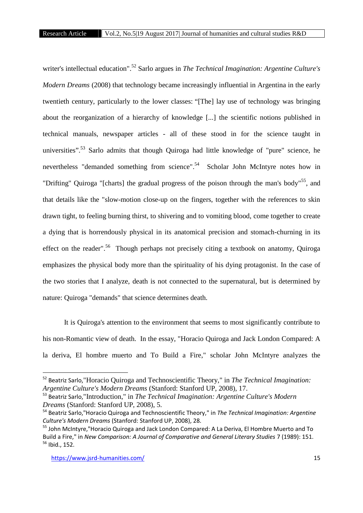writer's intellectual education".<sup>52</sup> Sarlo argues in *The Technical Imagination: Argentine Culture's Modern Dreams* (2008) that technology became increasingly influential in Argentina in the early twentieth century, particularly to the lower classes: "[The] lay use of technology was bringing about the reorganization of a hierarchy of knowledge [...] the scientific notions published in technical manuals, newspaper articles - all of these stood in for the science taught in universities".<sup>53</sup> Sarlo admits that though Quiroga had little knowledge of "pure" science, he nevertheless "demanded something from science".<sup>54</sup> Scholar John McIntyre notes how in "Drifting" Quiroga "[charts] the gradual progress of the poison through the man's body"<sup>55</sup>, and that details like the "slow-motion close-up on the fingers, together with the references to skin drawn tight, to feeling burning thirst, to shivering and to vomiting blood, come together to create a dying that is horrendously physical in its anatomical precision and stomach-churning in its effect on the reader".<sup>56</sup> Though perhaps not precisely citing a textbook on anatomy, Quiroga emphasizes the physical body more than the spirituality of his dying protagonist. In the case of the two stories that I analyze, death is not connected to the supernatural, but is determined by nature: Quiroga "demands" that science determines death.

It is Quiroga's attention to the environment that seems to most significantly contribute to his non-Romantic view of death. In the essay, "Horacio Quiroga and Jack London Compared: A la deriva, El hombre muerto and To Build a Fire," scholar John McIntyre analyzes the

<sup>52</sup> Beatriz Sarlo,"Horacio Quiroga and Technoscientific Theory," in *The Technical Imagination: Argentine Culture's Modern Dreams* (Stanford: Stanford UP, 2008), 17.

<sup>53</sup> Beatriz Sarlo,"Introduction," in *The Technical Imagination: Argentine Culture's Modern Dreams* (Stanford: Stanford UP, 2008), 5.

<sup>54</sup> Beatriz Sarlo,"Horacio Quiroga and Technoscientific Theory," in *The Technical Imagination: Argentine Culture's Modern Dreams* (Stanford: Stanford UP, 2008), 28.

<sup>&</sup>lt;sup>55</sup> John McIntyre, "Horacio Quiroga and Jack London Compared: A La Deriva, El Hombre Muerto and To Build a Fire," in *New Comparison: A Journal of Comparative and General Literary Studies* 7 (1989): 151.  $56$  Ibid., 152.

https://www.jsrd-humanities.com/ 15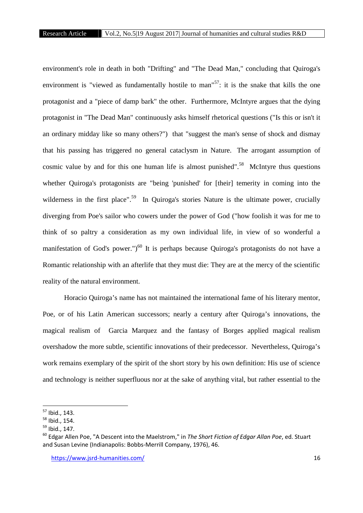environment's role in death in both "Drifting" and "The Dead Man," concluding that Quiroga's environment is "viewed as fundamentally hostile to man"<sup>57</sup>: it is the snake that kills the one protagonist and a "piece of damp bark" the other. Furthermore, McIntyre argues that the dying protagonist in "The Dead Man" continuously asks himself rhetorical questions ("Is this or isn't it an ordinary midday like so many others?") that "suggest the man's sense of shock and dismay that his passing has triggered no general cataclysm in Nature. The arrogant assumption of cosmic value by and for this one human life is almost punished".<sup>58</sup> McIntyre thus questions whether Quiroga's protagonists are "being 'punished' for [their] temerity in coming into the wilderness in the first place".<sup>59</sup> In Quiroga's stories Nature is the ultimate power, crucially diverging from Poe's sailor who cowers under the power of God ("how foolish it was for me to think of so paltry a consideration as my own individual life, in view of so wonderful a manifestation of God's power.")<sup>60</sup> It is perhaps because Quiroga's protagonists do not have a Romantic relationship with an afterlife that they must die: They are at the mercy of the scientific reality of the natural environment.

Horacio Quiroga's name has not maintained the international fame of his literary mentor, Poe, or of his Latin American successors; nearly a century after Quiroga's innovations, the magical realism of Garcia Marquez and the fantasy of Borges applied magical realism overshadow the more subtle, scientific innovations of their predecessor. Nevertheless, Quiroga's work remains exemplary of the spirit of the short story by his own definition: His use of science and technology is neither superfluous nor at the sake of anything vital, but rather essential to the

<sup>57</sup> Ibid., 143.

<sup>58</sup> Ibid., 154.

 $59$  Ibid., 147.

<sup>60</sup> Edgar Allen Poe, "A Descent into the Maelstrom," in *The Short Fiction of Edgar Allan Poe*, ed. Stuart and Susan Levine (Indianapolis: Bobbs-Merrill Company, 1976), 46.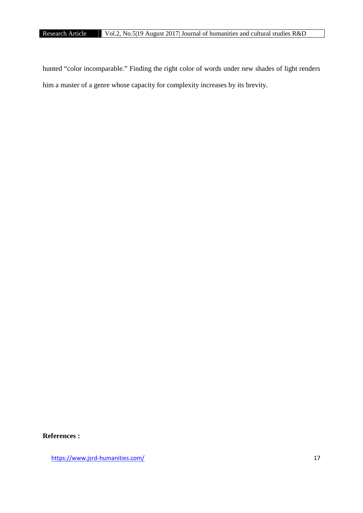hunted "color incomparable." Finding the right color of words under new shades of light renders him a master of a genre whose capacity for complexity increases by its brevity.

## **References :**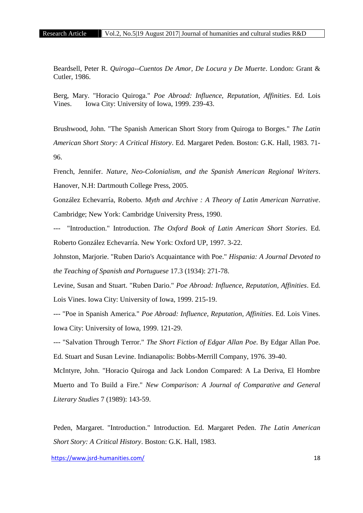Beardsell, Peter R. *Quiroga--Cuentos De Amor, De Locura y De Muerte*. London: Grant & Cutler, 1986.

Berg, Mary. "Horacio Quiroga." *Poe Abroad: Influence, Reputation, Affinities*. Ed. Lois Vines. Iowa City: University of Iowa, 1999. 239-43.

Brushwood, John. "The Spanish American Short Story from Quiroga to Borges." *The Latin American Short Story: A Critical History*. Ed. Margaret Peden. Boston: G.K. Hall, 1983. 71- 96.

French, Jennifer. *Nature, Neo-Colonialism, and the Spanish American Regional Writers*. Hanover, N.H: Dartmouth College Press, 2005.

González Echevarría, Roberto. *Myth and Archive : A Theory of Latin American Narrative*. Cambridge; New York: Cambridge University Press, 1990.

--- "Introduction." Introduction. *The Oxford Book of Latin American Short Stories*. Ed. Roberto González Echevarría. New York: Oxford UP, 1997. 3-22.

Johnston, Marjorie. "Ruben Dario's Acquaintance with Poe." *Hispania: A Journal Devoted to the Teaching of Spanish and Portuguese* 17.3 (1934): 271-78.

Levine, Susan and Stuart. "Ruben Dario." *Poe Abroad: Influence, Reputation, Affinities*. Ed. Lois Vines. Iowa City: University of Iowa, 1999. 215-19.

--- "Poe in Spanish America." *Poe Abroad: Influence, Reputation, Affinities*. Ed. Lois Vines. Iowa City: University of Iowa, 1999. 121-29.

--- "Salvation Through Terror." *The Short Fiction of Edgar Allan Poe*. By Edgar Allan Poe. Ed. Stuart and Susan Levine. Indianapolis: Bobbs-Merrill Company, 1976. 39-40.

McIntyre, John. "Horacio Quiroga and Jack London Compared: A La Deriva, El Hombre Muerto and To Build a Fire." *New Comparison: A Journal of Comparative and General Literary Studies* 7 (1989): 143-59.

Peden, Margaret. "Introduction." Introduction. Ed. Margaret Peden. *The Latin American Short Story: A Critical History*. Boston: G.K. Hall, 1983.